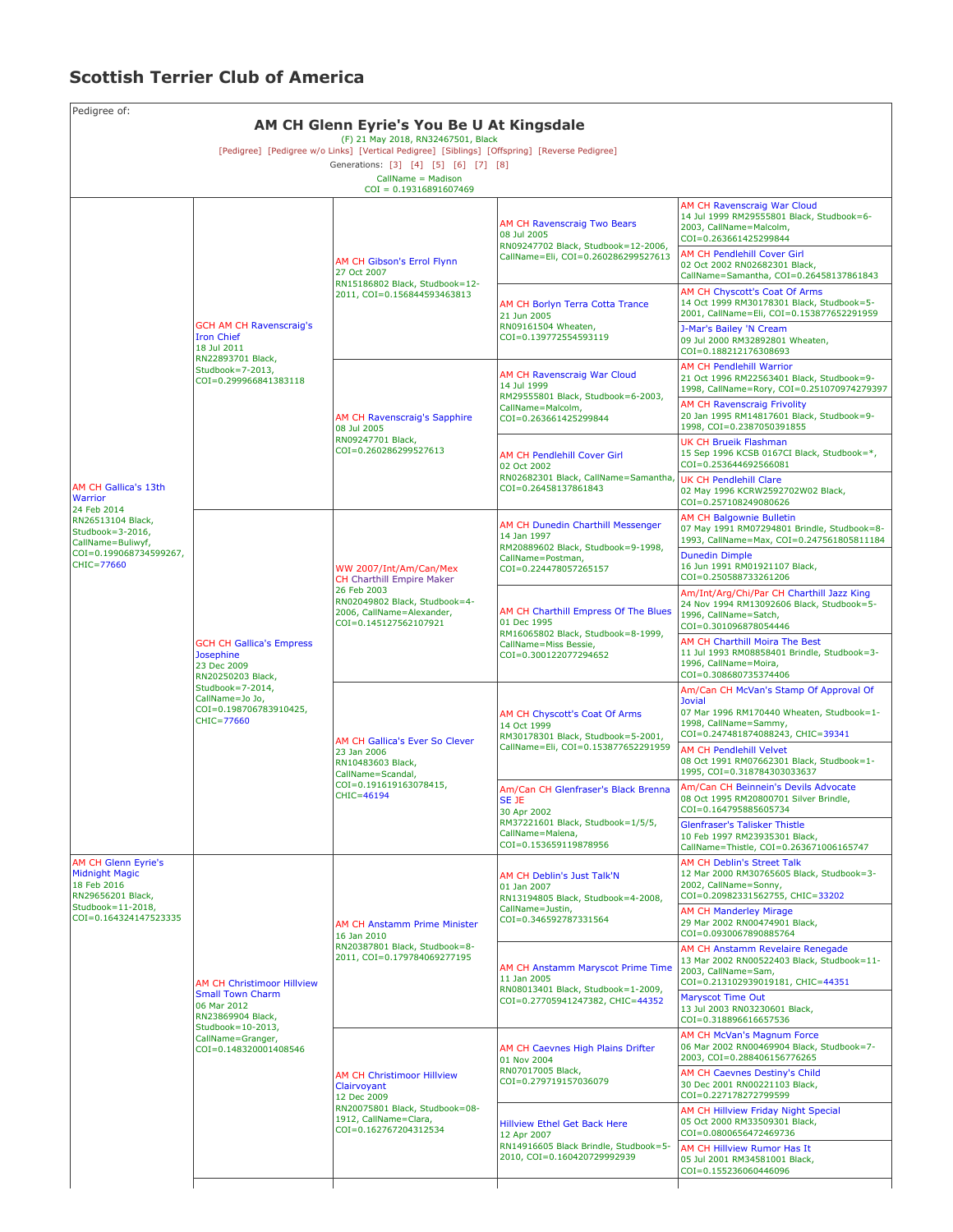## **Scottish Terrier Club of America**

| Pedigree of:<br>AM CH Glenn Eyrie's You Be U At Kingsdale                                                                                                                                                                     |                                                                                                                                                                     |                                                                                                                                                                  |                                                                                                                                               |                                                                                                                                                                                                                                                |  |  |  |  |
|-------------------------------------------------------------------------------------------------------------------------------------------------------------------------------------------------------------------------------|---------------------------------------------------------------------------------------------------------------------------------------------------------------------|------------------------------------------------------------------------------------------------------------------------------------------------------------------|-----------------------------------------------------------------------------------------------------------------------------------------------|------------------------------------------------------------------------------------------------------------------------------------------------------------------------------------------------------------------------------------------------|--|--|--|--|
| (F) 21 May 2018, RN32467501, Black<br>[Pedigree] [Pedigree w/o Links] [Vertical Pedigree] [Siblings] [Offspring] [Reverse Pedigree]<br>Generations: [3] [4] [5] [6] [7] [8]<br>CallName = Madison<br>$COI = 0.19316891607469$ |                                                                                                                                                                     |                                                                                                                                                                  |                                                                                                                                               |                                                                                                                                                                                                                                                |  |  |  |  |
| AM CH Gallica's 13th<br>Warrior<br>24 Feb 2014<br>RN26513104 Black,<br>Studbook=3-2016,<br>CallName=Buliwyf,<br>COI=0.199068734599267,<br>CHIC=77660                                                                          | <b>GCH AM CH Ravenscraig's</b><br><b>Iron Chief</b><br>18 Jul 2011<br>RN22893701 Black,<br>Studbook=7-2013,<br>COI=0.299966841383118                                | AM CH Gibson's Errol Flynn<br>27 Oct 2007<br>RN15186802 Black, Studbook=12-<br>2011, COI=0.156844593463813                                                       | AM CH Ravenscraig Two Bears<br>08 Jul 2005<br>RN09247702 Black, Studbook=12-2006,<br>CallName=Eli, COI=0.260286299527613                      | AM CH Ravenscraig War Cloud<br>14 Jul 1999 RM29555801 Black, Studbook=6-<br>2003, CallName=Malcolm,<br>COI=0.263661425299844<br><b>AM CH Pendlehill Cover Girl</b><br>02 Oct 2002 RN02682301 Black,<br>CallName=Samantha, COI=0.26458137861843 |  |  |  |  |
|                                                                                                                                                                                                                               |                                                                                                                                                                     |                                                                                                                                                                  | AM CH Borlyn Terra Cotta Trance<br>21 Jun 2005<br>RN09161504 Wheaten,<br>COI=0.139772554593119                                                | <b>AM CH Chyscott's Coat Of Arms</b><br>14 Oct 1999 RM30178301 Black, Studbook=5-<br>2001, CallName=Eli, COI=0.153877652291959<br>J-Mar's Bailey 'N Cream<br>09 Jul 2000 RM32892801 Wheaten,<br>COI=0.188212176308693                          |  |  |  |  |
|                                                                                                                                                                                                                               |                                                                                                                                                                     | AM CH Ravenscraig's Sapphire<br>08 Jul 2005<br>RN09247701 Black,<br>COI=0.260286299527613                                                                        | AM CH Ravenscraig War Cloud<br>14 Jul 1999<br>RM29555801 Black, Studbook=6-2003,<br>CallName=Malcolm,                                         | <b>AM CH Pendlehill Warrior</b><br>21 Oct 1996 RM22563401 Black, Studbook=9-<br>1998, CallName=Rory, COI=0.251070974279397<br>AM CH Ravenscraig Frivolity<br>20 Jan 1995 RM14817601 Black, Studbook=9-                                         |  |  |  |  |
|                                                                                                                                                                                                                               |                                                                                                                                                                     |                                                                                                                                                                  | COI=0.263661425299844<br>AM CH Pendlehill Cover Girl<br>02 Oct 2002<br>RN02682301 Black, CallName=Samantha,<br>COI=0.26458137861843           | 1998, COI=0.2387050391855<br>UK CH Brueik Flashman<br>15 Sep 1996 KCSB 0167CI Black, Studbook=*,<br>COI=0.253644692566081                                                                                                                      |  |  |  |  |
|                                                                                                                                                                                                                               |                                                                                                                                                                     |                                                                                                                                                                  |                                                                                                                                               | UK CH Pendlehill Clare<br>02 May 1996 KCRW2592702W02 Black,<br>COI=0.257108249080626                                                                                                                                                           |  |  |  |  |
|                                                                                                                                                                                                                               | <b>GCH CH Gallica's Empress</b><br>Josephine<br>23 Dec 2009<br>RN20250203 Black,<br>Studbook=7-2014,<br>CallName=Jo Jo,<br>COI=0.198706783910425,<br>CHIC=77660     | WW 2007/Int/Am/Can/Mex<br><b>CH Charthill Empire Maker</b><br>26 Feb 2003<br>RN02049802 Black, Studbook=4-<br>2006, CallName=Alexander,<br>COI=0.145127562107921 | AM CH Dunedin Charthill Messenger<br>14 Jan 1997<br>RM20889602 Black, Studbook=9-1998,<br>CallName=Postman,<br>COI=0.224478057265157          | AM CH Balgownie Bulletin<br>07 May 1991 RM07294801 Brindle, Studbook=8-<br>1993, CallName=Max, COI=0.247561805811184<br><b>Dunedin Dimple</b><br>16 Jun 1991 RM01921107 Black,                                                                 |  |  |  |  |
|                                                                                                                                                                                                                               |                                                                                                                                                                     |                                                                                                                                                                  | AM CH Charthill Empress Of The Blues<br>01 Dec 1995<br>RM16065802 Black, Studbook=8-1999,<br>CallName=Miss Bessie,<br>COI=0.300122077294652   | COI=0.250588733261206<br>Am/Int/Arg/Chi/Par CH Charthill Jazz King<br>24 Nov 1994 RM13092606 Black, Studbook=5-<br>1996, CallName=Satch,<br>COI=0.301096878054446                                                                              |  |  |  |  |
|                                                                                                                                                                                                                               |                                                                                                                                                                     |                                                                                                                                                                  |                                                                                                                                               | AM CH Charthill Moira The Best<br>11 Jul 1993 RM08858401 Brindle, Studbook=3-<br>1996, CallName=Moira,<br>COI=0.308680735374406                                                                                                                |  |  |  |  |
|                                                                                                                                                                                                                               |                                                                                                                                                                     | AM CH Gallica's Ever So Clever<br>23 Jan 2006<br>RN10483603 Black,<br>CallName=Scandal,<br>COI=0.191619163078415,<br>CHIC=46194                                  | AM CH Chyscott's Coat Of Arms<br>14 Oct 1999<br>RM30178301 Black, Studbook=5-2001,<br>CallName=Eli, COI=0.153877652291959                     | Am/Can CH McVan's Stamp Of Approval Of<br><b>Jovial</b><br>07 Mar 1996 RM170440 Wheaten, Studbook=1-<br>1998, CallName=Sammy,<br>COI=0.247481874088243, CHIC=39341<br><b>AM CH Pendlehill Velvet</b>                                           |  |  |  |  |
|                                                                                                                                                                                                                               |                                                                                                                                                                     |                                                                                                                                                                  | Am/Can CH Glenfraser's Black Brenna<br>SE JE<br>30 Apr 2002<br>RM37221601 Black, Studbook=1/5/5,<br>CallName=Malena,<br>COI=0.153659119878956 | 08 Oct 1991 RM07662301 Black, Studbook=1-<br>1995, COI=0.318784303033637<br>Am/Can CH Beinnein's Devils Advocate<br>08 Oct 1995 RM20800701 Silver Brindle,<br>COI=0.164795885605734                                                            |  |  |  |  |
|                                                                                                                                                                                                                               |                                                                                                                                                                     |                                                                                                                                                                  |                                                                                                                                               | <b>Glenfraser's Talisker Thistle</b><br>10 Feb 1997 RM23935301 Black,<br>CallName=Thistle, COI=0.263671006165747                                                                                                                               |  |  |  |  |
| AM CH Glenn Eyrie's<br><b>Midnight Magic</b><br>18 Feb 2016<br>RN29656201 Black,<br>Studbook=11-2018,<br>COI=0.164324147523335                                                                                                | <b>AM CH Christimoor Hillview</b><br><b>Small Town Charm</b><br>06 Mar 2012<br>RN23869904 Black,<br>Studbook=10-2013,<br>CallName=Granger,<br>COI=0.148320001408546 | <b>AM CH Anstamm Prime Minister</b><br>16 Jan 2010<br>RN20387801 Black, Studbook=8-<br>2011, COI=0.179784069277195                                               | AM CH Deblin's Just Talk'N<br>01 Jan 2007<br>RN13194805 Black, Studbook=4-2008,                                                               | <b>AM CH Deblin's Street Talk</b><br>12 Mar 2000 RM30765605 Black, Studbook=3-<br>2002, CallName=Sonny,<br>COI=0.20982331562755, CHIC=33202                                                                                                    |  |  |  |  |
|                                                                                                                                                                                                                               |                                                                                                                                                                     |                                                                                                                                                                  | CallName=Justin,<br>COI=0.346592787331564                                                                                                     | <b>AM CH Manderley Mirage</b><br>29 Mar 2002 RN00474901 Black,<br>COI=0.0930067890885764                                                                                                                                                       |  |  |  |  |
|                                                                                                                                                                                                                               |                                                                                                                                                                     |                                                                                                                                                                  | AM CH Anstamm Maryscot Prime Time<br>11 Jan 2005<br>RN08013401 Black, Studbook=1-2009,<br>COI=0.27705941247382, CHIC=44352                    | AM CH Anstamm Revelaire Renegade<br>13 Mar 2002 RN00522403 Black, Studbook=11-<br>2003, CallName=Sam,<br>COI=0.213102939019181, CHIC=44351                                                                                                     |  |  |  |  |
|                                                                                                                                                                                                                               |                                                                                                                                                                     |                                                                                                                                                                  |                                                                                                                                               | Maryscot Time Out<br>13 Jul 2003 RN03230601 Black,<br>COI=0.318896616657536                                                                                                                                                                    |  |  |  |  |
|                                                                                                                                                                                                                               |                                                                                                                                                                     | <b>AM CH Christimoor Hillview</b><br>Clairvoyant<br>12 Dec 2009<br>RN20075801 Black, Studbook=08-<br>1912, CallName=Clara,<br>COI=0.162767204312534              | AM CH Caevnes High Plains Drifter<br>01 Nov 2004<br>RN07017005 Black,<br>COI=0.279719157036079                                                | AM CH McVan's Magnum Force<br>06 Mar 2002 RN00469904 Black, Studbook=7-<br>2003, COI=0.288406156776265<br>AM CH Caevnes Destiny's Child                                                                                                        |  |  |  |  |
|                                                                                                                                                                                                                               |                                                                                                                                                                     |                                                                                                                                                                  |                                                                                                                                               | 30 Dec 2001 RN00221103 Black,<br>COI=0.227178272799599                                                                                                                                                                                         |  |  |  |  |
|                                                                                                                                                                                                                               |                                                                                                                                                                     |                                                                                                                                                                  | <b>Hillview Ethel Get Back Here</b><br>12 Apr 2007<br>RN14916605 Black Brindle, Studbook=5-<br>2010, COI=0.160420729992939                    | AM CH Hillview Friday Night Special<br>05 Oct 2000 RM33509301 Black,<br>COI=0.0800656472469736<br>AM CH Hillview Rumor Has It                                                                                                                  |  |  |  |  |
|                                                                                                                                                                                                                               |                                                                                                                                                                     |                                                                                                                                                                  |                                                                                                                                               | 05 Jul 2001 RM34581001 Black,<br>COI=0.155236060446096                                                                                                                                                                                         |  |  |  |  |